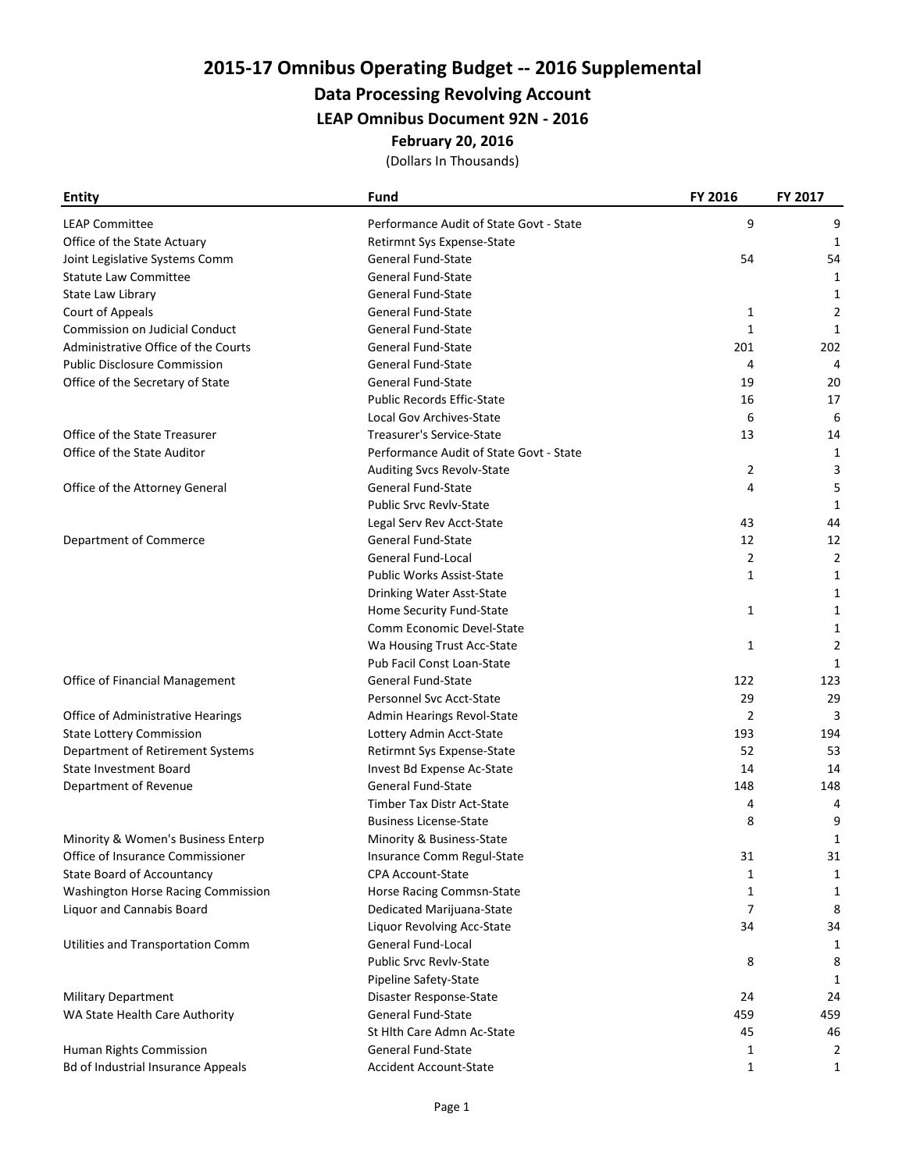# 2015-17 Omnibus Operating Budget -- 2016 Supplemental

### Data Processing Revolving Account

LEAP Omnibus Document 92N - 2016

#### February 20, 2016

(Dollars In Thousands)

| <b>Entity</b>                             | Fund                                    | <b>FY 2016</b> | FY 2017        |
|-------------------------------------------|-----------------------------------------|----------------|----------------|
| <b>LEAP Committee</b>                     | Performance Audit of State Govt - State | 9              | 9              |
| Office of the State Actuary               | Retirmnt Sys Expense-State              |                | 1              |
| Joint Legislative Systems Comm            | General Fund-State                      | 54             | 54             |
| <b>Statute Law Committee</b>              | General Fund-State                      |                | 1              |
| State Law Library                         | General Fund-State                      |                | 1              |
| Court of Appeals                          | <b>General Fund-State</b>               | 1              | 2              |
| <b>Commission on Judicial Conduct</b>     | General Fund-State                      | 1              | 1              |
| Administrative Office of the Courts       | General Fund-State                      | 201            | 202            |
| <b>Public Disclosure Commission</b>       | <b>General Fund-State</b>               | 4              | 4              |
| Office of the Secretary of State          | <b>General Fund-State</b>               | 19             | 20             |
|                                           | <b>Public Records Effic-State</b>       | 16             | 17             |
|                                           | Local Gov Archives-State                | 6              | 6              |
| Office of the State Treasurer             | Treasurer's Service-State               | 13             | 14             |
| Office of the State Auditor               | Performance Audit of State Govt - State |                | 1              |
|                                           | Auditing Svcs Revolv-State              | 2              | 3              |
| Office of the Attorney General            | <b>General Fund-State</b>               | 4              | 5              |
|                                           | <b>Public Srvc Revly-State</b>          |                | 1              |
|                                           | Legal Serv Rev Acct-State               | 43             | 44             |
| Department of Commerce                    | <b>General Fund-State</b>               | 12             | 12             |
|                                           | General Fund-Local                      | 2              | 2              |
|                                           | <b>Public Works Assist-State</b>        | 1              | 1              |
|                                           | Drinking Water Asst-State               |                | 1              |
|                                           | Home Security Fund-State                | $\mathbf{1}$   | 1              |
|                                           | Comm Economic Devel-State               |                | 1              |
|                                           | Wa Housing Trust Acc-State              | 1              | $\overline{2}$ |
|                                           | Pub Facil Const Loan-State              |                | 1              |
| Office of Financial Management            | <b>General Fund-State</b>               | 122            | 123            |
|                                           | Personnel Svc Acct-State                | 29             | 29             |
| Office of Administrative Hearings         | Admin Hearings Revol-State              | $\overline{2}$ | 3              |
| <b>State Lottery Commission</b>           | Lottery Admin Acct-State                | 193            | 194            |
| Department of Retirement Systems          | Retirmnt Sys Expense-State              | 52             | 53             |
| <b>State Investment Board</b>             | Invest Bd Expense Ac-State              | 14             | 14             |
| Department of Revenue                     | General Fund-State                      | 148            | 148            |
|                                           | Timber Tax Distr Act-State              | 4              | 4              |
|                                           | <b>Business License-State</b>           | 8              | 9              |
| Minority & Women's Business Enterp        | Minority & Business-State               |                | 1              |
| Office of Insurance Commissioner          | Insurance Comm Regul-State              | 31             | 31             |
| State Board of Accountancy                | <b>CPA Account-State</b>                | 1              | 1              |
| Washington Horse Racing Commission        | Horse Racing Commsn-State               | 1              | 1              |
| Liquor and Cannabis Board                 | Dedicated Marijuana-State               | 7              | 8              |
|                                           | Liquor Revolving Acc-State              | 34             | 34             |
| Utilities and Transportation Comm         | General Fund-Local                      |                | 1              |
|                                           | <b>Public Srvc Revlv-State</b>          | 8              | 8              |
|                                           | Pipeline Safety-State                   |                | 1              |
| <b>Military Department</b>                | Disaster Response-State                 | 24             | 24             |
| WA State Health Care Authority            | General Fund-State                      | 459            | 459            |
|                                           | St Hlth Care Admn Ac-State              | 45             | 46             |
| Human Rights Commission                   | General Fund-State                      | 1              | 2              |
| <b>Bd of Industrial Insurance Appeals</b> | <b>Accident Account-State</b>           | 1              | $\mathbf{1}$   |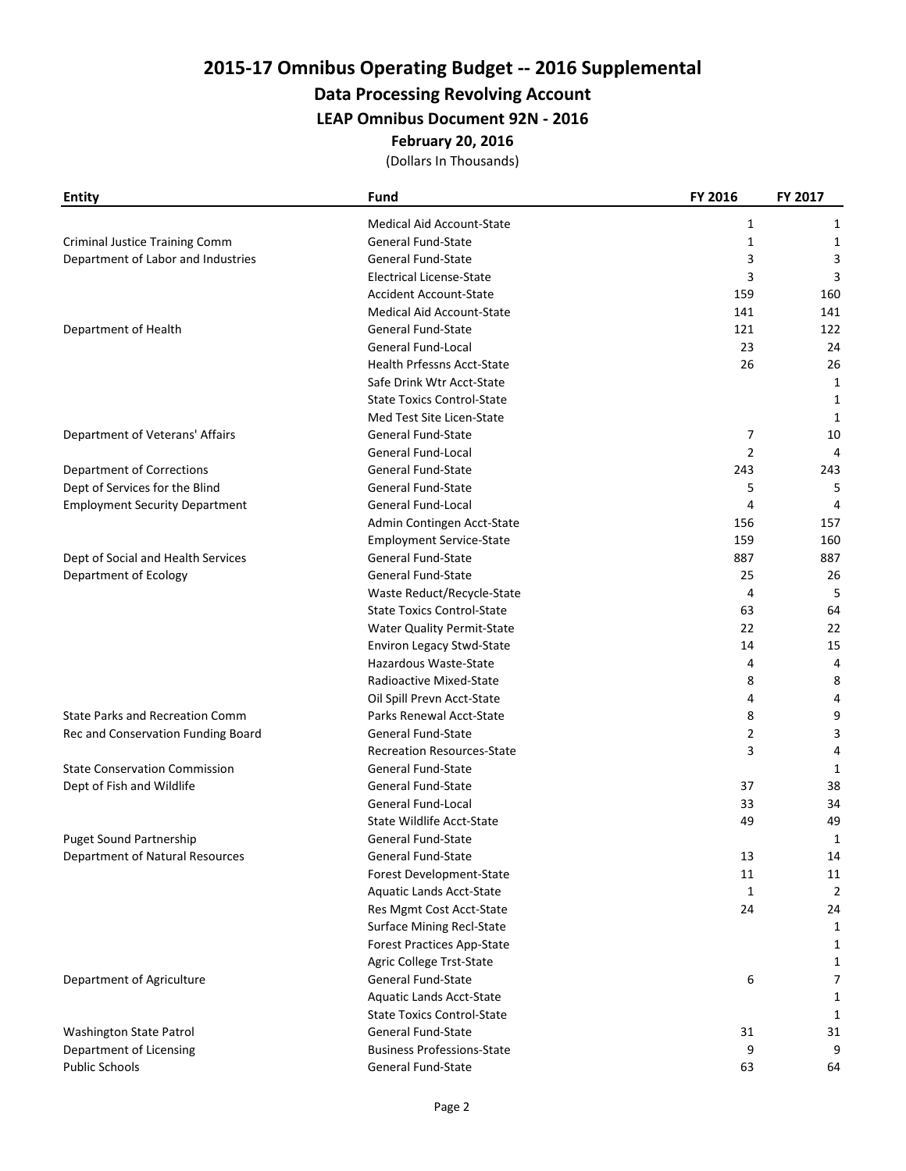# 2015-17 Omnibus Operating Budget -- 2016 Supplemental

### Data Processing Revolving Account

LEAP Omnibus Document 92N - 2016

#### February 20, 2016

(Dollars In Thousands)

| <b>Entity</b>                          | Fund                              | FY 2016        | FY 2017        |
|----------------------------------------|-----------------------------------|----------------|----------------|
|                                        | <b>Medical Aid Account-State</b>  | 1              | 1              |
| <b>Criminal Justice Training Comm</b>  | General Fund-State                | 1              | 1              |
| Department of Labor and Industries     | General Fund-State                | 3              | 3              |
|                                        | <b>Electrical License-State</b>   | 3              | 3              |
|                                        | <b>Accident Account-State</b>     | 159            | 160            |
|                                        | Medical Aid Account-State         | 141            | 141            |
| Department of Health                   | General Fund-State                | 121            | 122            |
|                                        | General Fund-Local                | 23             | 24             |
|                                        | Health Prfessns Acct-State        | 26             | 26             |
|                                        | Safe Drink Wtr Acct-State         |                | 1              |
|                                        | <b>State Toxics Control-State</b> |                | $\mathbf{1}$   |
|                                        | Med Test Site Licen-State         |                | $\mathbf{1}$   |
| Department of Veterans' Affairs        | General Fund-State                | 7              | 10             |
|                                        | General Fund-Local                | $\overline{2}$ | 4              |
| Department of Corrections              | General Fund-State                | 243            | 243            |
| Dept of Services for the Blind         | General Fund-State                | 5              | 5              |
| <b>Employment Security Department</b>  | General Fund-Local                | 4              | 4              |
|                                        | Admin Contingen Acct-State        | 156            | 157            |
|                                        | <b>Employment Service-State</b>   | 159            | 160            |
| Dept of Social and Health Services     | <b>General Fund-State</b>         | 887            | 887            |
| Department of Ecology                  | <b>General Fund-State</b>         | 25             | 26             |
|                                        | Waste Reduct/Recycle-State        | 4              | 5              |
|                                        | <b>State Toxics Control-State</b> | 63             | 64             |
|                                        | <b>Water Quality Permit-State</b> | 22             | 22             |
|                                        | Environ Legacy Stwd-State         | 14             | 15             |
|                                        | Hazardous Waste-State             | 4              | 4              |
|                                        | Radioactive Mixed-State           | 8              | 8              |
|                                        | Oil Spill Prevn Acct-State        | 4              | 4              |
| <b>State Parks and Recreation Comm</b> | Parks Renewal Acct-State          | 8              | 9              |
| Rec and Conservation Funding Board     | <b>General Fund-State</b>         | 2              | 3              |
|                                        | <b>Recreation Resources-State</b> | 3              | 4              |
| <b>State Conservation Commission</b>   | <b>General Fund-State</b>         |                | 1              |
| Dept of Fish and Wildlife              | General Fund-State                | 37             | 38             |
|                                        | General Fund-Local                | 33             | 34             |
|                                        | <b>State Wildlife Acct-State</b>  | 49             | 49             |
| Puget Sound Partnership                | <b>General Fund-State</b>         |                | 1              |
| Department of Natural Resources        | General Fund-State                | 13             | 14             |
|                                        | Forest Development-State          | 11             | $11\,$         |
|                                        | Aquatic Lands Acct-State          | 1              | $\overline{2}$ |
|                                        | Res Mgmt Cost Acct-State          | 24             | 24             |
|                                        | <b>Surface Mining Recl-State</b>  |                | $\mathbf{1}$   |
|                                        | <b>Forest Practices App-State</b> |                | 1              |
|                                        | Agric College Trst-State          |                | 1              |
| Department of Agriculture              | General Fund-State                | 6              | $\overline{7}$ |
|                                        | Aquatic Lands Acct-State          |                | 1              |
|                                        | <b>State Toxics Control-State</b> |                | 1              |
| Washington State Patrol                | General Fund-State                | 31             | 31             |
| Department of Licensing                | <b>Business Professions-State</b> | 9              | 9              |
| <b>Public Schools</b>                  | General Fund-State                | 63             | 64             |
|                                        |                                   |                |                |